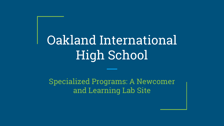# Oakland International High School

Specialized Programs: A Newcomer and Learning Lab Site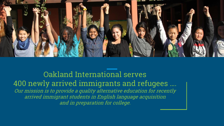

Oakland International serves 400 newly arrived immigrants and refugees …. Our mission is to provide a quality alternative education for recently arrived immigrant students in English language acquisition and in preparation for college.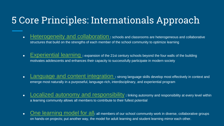### 5 Core Principles: Internationals Approach

- **[Heterogeneity and collaboration](http://internationalsnps.org/about-us/internationals-approach/heterogeneity-and-collaboration)** : schools and classrooms are heterogeneous and collaborative structures that build on the strengths of each member of the school community to optimize learning
- [Experiential learning](http://internationalsnps.org/about-us/internationals-approach/experiental-learning) **:** expansion of the 21st century schools beyond the four walls of the building motivates adolescents and enhances their capacity to successfully participate in modern society
- [Language and content integration](http://internationalsnps.org/about-us/internationals-approach/language-and-content-integration) **:** strong language skills develop most effectively in context and emerge most naturally in a purposeful, language-rich, interdisciplinary, and experiential program
- [Localized autonomy and responsibility](http://internationalsnps.org/about-us/internationals-approach/localized-autonomy-and-responsibility) **:** linking autonomy and responsibility at every level within a learning community allows all members to contribute to their fullest potential
- [One learning model for all](http://internationalsnps.org/about-us/internationals-approach/one-learning-model-for-all): all members of our school community work in diverse, collaborative groups on hands-on projects; put another way, the model for adult learning and student learning mirror each other.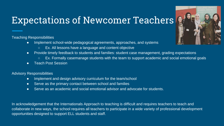### Expectations of Newcomer Teachers

Teaching Responsibilities

- Implement school-wide pedagogical agreements, approaches, and systems
	- Ex. All lessons have a language and content objective
- Provide timely feedback to students and families: student case management, grading expectations
	- Ex. Formally casemanage students with the team to support academic and social emotional goals
- **Teach Post Session**

Advisory Responsibilities

- Implement and design advisory curriculum for the team/school
- Serve as the primary contact between school and families
- Serve as an academic and social emotional advisor and advocate for students.

In acknowledgement that the Internationals Approach to teaching is difficult and requires teachers to teach and collaborate in new ways, the school requires all teachers to participate in a wide variety of professional development opportunities designed to support ELL students and staff.

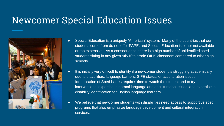### Newcomer Special Education Issues



- Special Education is a uniquely "American" system. Many of the countries that our students come from do not offer FAPE, and Special Education is either not available or too expensive. As a consequence, there is a high number of unidentified sped students sitting in any given 9th/10th grade OIHS classroom compared to other high schools.
- It is initially very difficult to identify if a newcomer student is struggling academically due to disabilities, language barriers, SIFE status, or acculturation issues. Identification of Sped issues requires time to watch the student and to try interventions, expertise in normal language and acculturation issues, and expertise in disability identification for English language learners.
- We believe that newcomer students with disabilities need access to supportive sped programs that also emphasize language development and cultural integration services.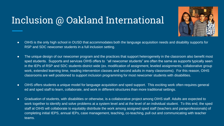### Inclusion @ Oakland International



- OIHS is the only high school in OUSD that accommodates both the language acquisition needs and disability supports for RSP and SDC newcomer students in a full inclusion setting.
- The unique design of our newcomer program and the practices that support heterogeneity in the classroom also benefit most sped students. Supports and services OIHS offers to "all newcomer students" are often the same as supports typically seen in the IEPs of RSP and SDC students district wide (ex. modification of assignment, leveled assignments, collaborative group work, extended learning time, reading intervention classes and second adults in many classrooms). For this reason, OIHS classrooms are well positioned to support inclusion programming for most newcomer students with disabilities.
- OIHS offers students a unique model for language acquisition and sped support. This exciting work often requires general ed and sped staff to learn, collaborate, and work in different structures than more traditional settings.
- Graduation of students, with disabilities or otherwise, is a collaborative project among OIHS staff. Adults are expected to work together to identify and solve problems at a system level and at the level of an individual student. To this end, the sped staff at OIHS will collaborate to equitably distribute the work among assigned sped staff (teachers and paraprofessionals) of completing initial IEPS, annual IEPs, case management, teaching, co-teaching, pull out and communicating with teacher teams.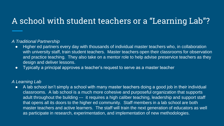### A school with student teachers or a "Learning Lab"?

#### *A Traditional Partnership*

- Higher ed partners every day with thousands of individual master teachers who, in collaboration with university staff, train student teachers. Master teachers open their classrooms for observation and practice teaching. They also take on a mentor role to help advise preservice teachers as they design and deliver lessons.
- Typically a principal approves a teacher's request to serve as a master teacher

#### *A Learning Lab*

● A lab school isn't simply a school with many master teachers doing a good job in their individual classrooms. A lab school is a much more cohesive and purposeful organization that supports adult throughout the building --- it requires a high caliber teaching, leadership and support staff that opens all its doors to the higher ed community. Staff members in a lab school are both master teachers and active learners. The staff will train the next generation of educators as well as participate in research, experimentation, and implementation of new methodologies.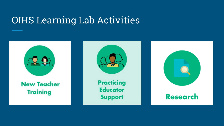# OIHS Learning Lab Activities

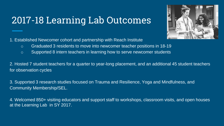### 2017-18 Learning Lab Outcomes



- o Graduated 3 residents to move into newcomer teacher positions in 18-19
- o Supported 8 intern teachers in learning how to serve newcomer students

2. Hosted 7 student teachers for a quarter to year-long placement, and an additional 45 student teachers for observation cycles

3. Supported 3 research studies focused on Trauma and Resilience, Yoga and Mindfulness, and Community Membership/SEL.

4. Welcomed 850+ visiting educators and support staff to workshops, classroom visits, and open houses at the Learning Lab in SY 2017.

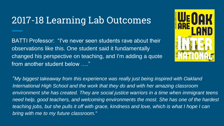### 2017-18 Learning Lab Outcomes

BATTI Professor: "I've never seen students rave about their observations like this. One student said it fundamentally changed his perspective on teaching, and I'm adding a quote from another student below …."



*"My biggest takeaway from this experience was really just being inspired with Oakland International High School and the work that they do and with her amazing classroom environment she has created. They are social justice warriors in a time when immigrant teens need help, good teachers, and welcoming environments the most. She has one of the hardest teaching jobs, but she pulls it off with grace, kindness and love, which is what I hope I can bring with me to my future classroom."*